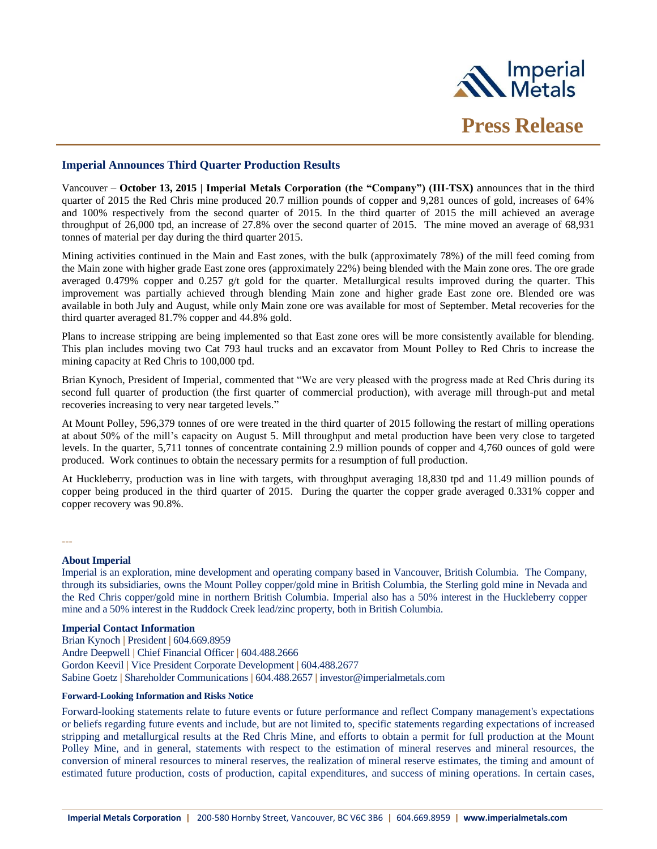

## **Imperial Announces Third Quarter Production Results**

Vancouver – **October 13, 2015 | Imperial Metals Corporation (the "Company") (III-TSX)** announces that in the third quarter of 2015 the Red Chris mine produced 20.7 million pounds of copper and 9,281 ounces of gold, increases of 64% and 100% respectively from the second quarter of 2015. In the third quarter of 2015 the mill achieved an average throughput of 26,000 tpd, an increase of 27.8% over the second quarter of 2015. The mine moved an average of 68,931 tonnes of material per day during the third quarter 2015.

Mining activities continued in the Main and East zones, with the bulk (approximately 78%) of the mill feed coming from the Main zone with higher grade East zone ores (approximately 22%) being blended with the Main zone ores. The ore grade averaged 0.479% copper and 0.257 g/t gold for the quarter. Metallurgical results improved during the quarter. This improvement was partially achieved through blending Main zone and higher grade East zone ore. Blended ore was available in both July and August, while only Main zone ore was available for most of September. Metal recoveries for the third quarter averaged 81.7% copper and 44.8% gold.

Plans to increase stripping are being implemented so that East zone ores will be more consistently available for blending. This plan includes moving two Cat 793 haul trucks and an excavator from Mount Polley to Red Chris to increase the mining capacity at Red Chris to 100,000 tpd.

Brian Kynoch, President of Imperial, commented that "We are very pleased with the progress made at Red Chris during its second full quarter of production (the first quarter of commercial production), with average mill through-put and metal recoveries increasing to very near targeted levels."

At Mount Polley, 596,379 tonnes of ore were treated in the third quarter of 2015 following the restart of milling operations at about 50% of the mill's capacity on August 5. Mill throughput and metal production have been very close to targeted levels. In the quarter, 5,711 tonnes of concentrate containing 2.9 million pounds of copper and 4,760 ounces of gold were produced. Work continues to obtain the necessary permits for a resumption of full production.

At Huckleberry, production was in line with targets, with throughput averaging 18,830 tpd and 11.49 million pounds of copper being produced in the third quarter of 2015. During the quarter the copper grade averaged 0.331% copper and copper recovery was 90.8%.

---

## **About Imperial**

Imperial is an exploration, mine development and operating company based in Vancouver, British Columbia. The Company, through its subsidiaries, owns the Mount Polley copper/gold mine in British Columbia, the Sterling gold mine in Nevada and the Red Chris copper/gold mine in northern British Columbia. Imperial also has a 50% interest in the Huckleberry copper mine and a 50% interest in the Ruddock Creek lead/zinc property, both in British Columbia.

## **Imperial Contact Information**

Brian Kynoch **|** President **|** 604.669.8959 Andre Deepwell **|** Chief Financial Officer **|** 604.488.2666 Gordon Keevil **|** Vice President Corporate Development **|** 604.488.2677 Sabine Goetz **|** Shareholder Communications **|** 604.488.2657 **|** investor@imperialmetals.com

## **Forward-Looking Information and Risks Notice**

Forward-looking statements relate to future events or future performance and reflect Company management's expectations or beliefs regarding future events and include, but are not limited to, specific statements regarding expectations of increased stripping and metallurgical results at the Red Chris Mine, and efforts to obtain a permit for full production at the Mount Polley Mine, and in general, statements with respect to the estimation of mineral reserves and mineral resources, the conversion of mineral resources to mineral reserves, the realization of mineral reserve estimates, the timing and amount of estimated future production, costs of production, capital expenditures, and success of mining operations. In certain cases,